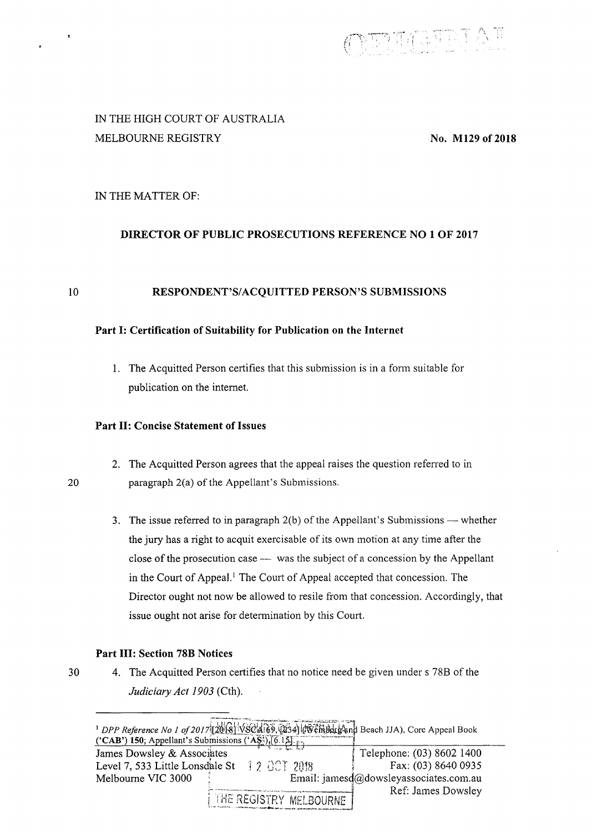

# IN THE HIGH COURT OF AUSTRALIA MELBOURNE REGISTRY

No. Ml29 of 2018

# IN THE MATTER OF:

# DIRECTOR OF PUBLIC PROSECUTIONS REFERENCE NO 1 OF 2017

#### 10 RESPONDENT'S/ACQUITTED PERSON'S SUBMISSIONS

## Part I: Certification of Suitability for Publication on the Internet

1. The Acquitted Person certifies that this submission is in a form suitable for publication on the internet.

#### Part II: Concise Statement of Issues

- 2. The Acquitted Person agrees that the appeal raises the question referred to in paragraph  $2(a)$  of the Appellant's Submissions.
- 3. The issue referred to in paragraph  $2(b)$  of the Appellant's Submissions whether the jury has a right to acquit exercisable of its own motion at any time after the close of the prosecution case - was the subject of a concession by the Appellant in the Court of Appeal.<sup>1</sup> The Court of Appeal accepted that concession. The Director ought not now be allowed to resile from that concession. Accordingly, that issue ought not arise for determination by this Court.

## Part III: Section 78B Notices

20

30 4. The Acquitted Person certifies that no notice need be given under s 78B of the *Judiciary Act 1903* (Cth).

| program of the contract of the contract of the contract of the contract of the contract of the contract of the<br><sup>1</sup> DPP Reference No 1 of 2017 [20 8] VSCA 69, (234) (Wembergand Beach JJA), Core Appeal Book |                                        |
|--------------------------------------------------------------------------------------------------------------------------------------------------------------------------------------------------------------------------|----------------------------------------|
| ('CAB') 150; Appellant's Submissions ('AŞ'), $[6.15]$ , $\frac{1}{12}$                                                                                                                                                   |                                        |
| James Dowsley & Associates                                                                                                                                                                                               | Telephone: (03) 8602 1400              |
| $12$ $0$ CT $2018$<br>Level 7, 533 Little Lonsdale St                                                                                                                                                                    | Fax: (03) 8640 0935                    |
| Melbourne VIC 3000                                                                                                                                                                                                       | Email: jamesd@dowsleyassociates.com.au |
| THE REGISTRY MELBOURNE                                                                                                                                                                                                   | Ref: James Dowsley                     |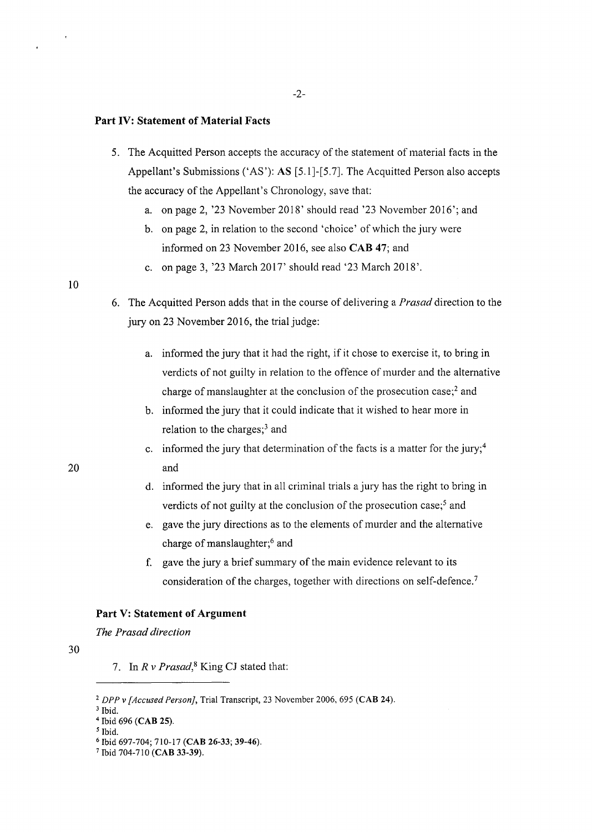#### Part IV: Statement of Material Facts

- 5. The Acquitted Person accepts the accuracy of the statement of material facts in the Appellant's Submissions ('AS'): AS [5.1]-[5. 7]. The Acquitted Person also accepts the accuracy of the Appellant's Chronology, save that:
	- a. on page 2, '23 November 2018' should read '23 November 2016'; and
	- b. on page 2, in relation to the second 'choice' of which the jury were informed on 23 November 2016, see also CAB 47; and
	- c. on page 3, '23 March 2017' should read '23 March 2018'.

#### 10

20

6. The Acquitted Person adds that in the course of delivering a *Prasad* direction to the jury on 23 November 2016, the trial judge:

- a. informed the jury that it had the right, if it chose to exercise it, to bring in verdicts of not guilty in relation to the offence of murder and the alternative charge of manslaughter at the conclusion of the prosecution case;<sup>2</sup> and
- b. informed the jury that it could indicate that it wished to hear more in relation to the charges; $3$  and
- c. informed the jury that determination of the facts is a matter for the jury;<sup>4</sup> and
- d. informed the jury that in all criminal trials a jury has the right to bring in verdicts of not guilty at the conclusion of the prosecution case;<sup>5</sup> and
- e. gave the jury directions as to the elements of murder and the alternative charge of manslaughter;<sup>6</sup> and
- f. gave the jury a brief summary of the main evidence relevant to its consideration of the charges, together with directions on self-defence.<sup>7</sup>

#### Part V: Statement of Argument

#### *The Prasad direction*

30

7. In *R v Prasad*,<sup>8</sup> King CJ stated that:

<sup>&</sup>lt;sup>2</sup> DPP v [Accused Person], Trial Transcript, 23 November 2006, 695 (CAB 24).<sup>3</sup> Ibid.

<sup>4</sup> Ibid 696 (CAB 25).

*<sup>5</sup>*Ibid.

<sup>&</sup>lt;sup>6</sup> Ibid 697-704; 710-17 (CAB 26-33; 39-46).<br><sup>7</sup> Ibid 704-710 (CAB 33-39).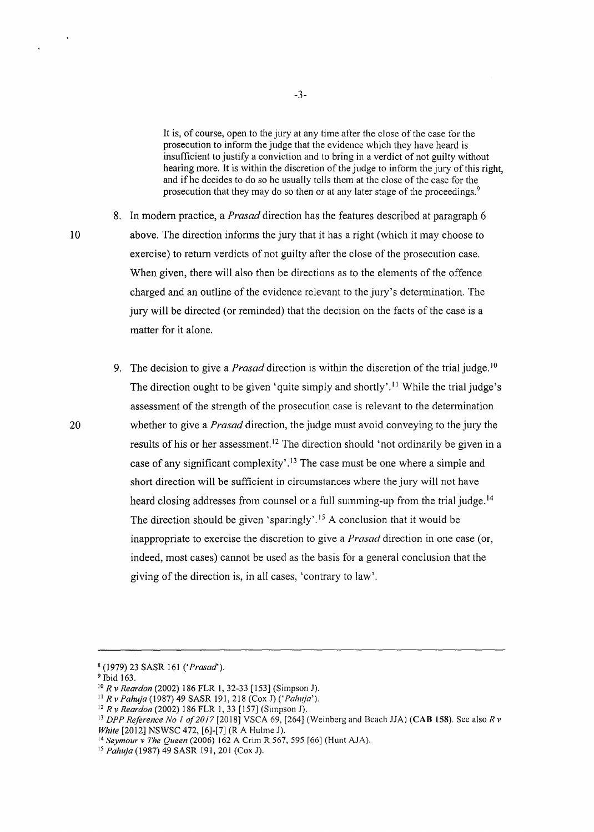It is, of course, open to the jury at any time after the close of the case for the prosecution to inform the judge that the evidence which they have heard is insufficient to justify a conviction and to bring in a verdict of not guilty without hearing more. It is within the discretion of the judge to inform the jury of this right, and if he decides to do so he usually tells them at the close of the case for the prosecution that they may do so then or at any later stage of the proceedings.<sup>9</sup>

8. In modem practice, a *Prasad* direction has the features described at paragraph 6 above. The direction informs the jury that it has a right (which it may choose to exercise) to return verdicts of not guilty after the close of the prosecution case. When given, there will also then be directions as to the elements of the offence charged and an outline of the evidence relevant to the jury's determination. The jury will be directed (or reminded) that the decision on the facts of the case is a matter for it alone.

9. The decision to give a *Prasad* direction is within the discretion of the trial judge. <sup>10</sup> The direction ought to be given 'quite simply and shortly'.<sup>11</sup> While the trial judge's assessment of the strength of the prosecution case is relevant to the detennination whether to give a *Prasad* direction, the judge must avoid conveying to the jury the results of his or her assessment.<sup>12</sup> The direction should 'not ordinarily be given in a case of any significant complexity'.<sup>13</sup> The case must be one where a simple and short direction will be sufficient in circumstances where the jury will not have heard closing addresses from counsel or a full summing-up from the trial judge.<sup>14</sup> The direction should be given 'sparingly'.<sup>15</sup> A conclusion that it would be inappropriate to exercise the discretion to give a *Prasad* direction in one case (or, indeed, most cases) cannot be used as the basis for a general conclusion that the giving of the direction is, in all cases, 'contrary to law'.

8 (1979) 23 SASR I6I *('Prasad').* 

10

 $\ddot{\phantom{1}}$ 

<sup>&</sup>lt;sup>9</sup> Ibid 163.<br><sup>10</sup> R v Reardon (2002) 186 FLR 1, 32-33 [153] (Simpson J).

<sup>&</sup>lt;sup>11</sup> *R v Pahuja* (1987) 49 SASR 191, 218 (Cox J) ('*Pahuja'*).<br><sup>12</sup> *R v Reardon* (2002) 186 FLR 1, 33 [157] (Simpson J).

<sup>&</sup>lt;sup>13</sup> DPP Reference No 1 of 2017 [2018] VSCA 69, [264] (Weinberg and Beach JJA) (CAB 158). See also *R v White* [20I2] NSWSC 472, [6]-[7) (R A Hulme J).

<sup>14</sup> *Seymour v The Queen* (2006) 162 A Crim R 567, 595 (66] (Hunt AJA).

<sup>&</sup>lt;sup>15</sup> Pahuja (1987) 49 SASR 191, 201 (Cox J).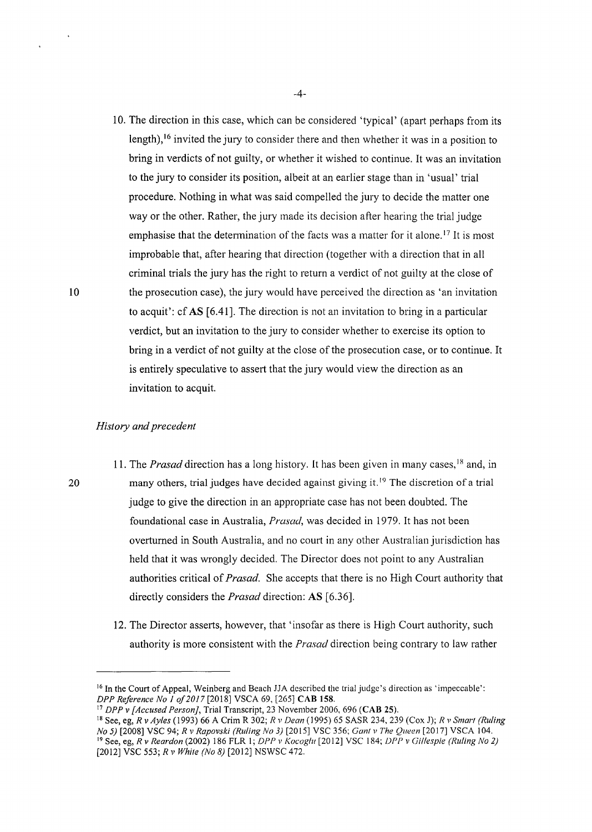10. The direction in this case, which can be considered 'typical' (apart perhaps from its length), <sup>16</sup> invited the jury to consider there and then whether it was in a position to bring in verdicts of not guilty, or whether it wished to continue. It was an invitation to the jury to consider its position, albeit at an earlier stage than in 'usual' trial procedure. Nothing in what was said compelled the jury to decide the matter one way or the other. Rather, the jury made its decision after hearing the trial judge emphasise that the determination of the facts was a matter for it alone.<sup>17</sup> It is most improbable that, after hearing that direction (together with a direction that in all criminal trials the jury has the right to return a verdict of not guilty at the close of the prosecution case), the jury would have perceived the direction as 'an invitation to acquit': cf AS [6.41]. The direction is not an invitation to bring in a particular verdict, but an invitation to the jury to consider whether to exercise its option to bring in a verdict of not guilty at the close of the prosecution case, or to continue. It is entirely speculative to assert that the jury would view the direction as an invitation to acquit.

#### *History and precedent*

- 11. The *Prasad* direction has a long history. It has been given in many cases,<sup>18</sup> and, in many others, trial judges have decided against giving it.<sup>19</sup> The discretion of a trial judge to give the direction in an appropriate case has not been doubted. The foundational case in Australia, *Prasad,* was decided in 1979. It has not been overturned in South Australia, and no court in any other Australian jurisdiction has held that it was wrongly decided. The Director does not point to any Australian authorities critical of *Prasad*. She accepts that there is no High Court authority that directly considers the *Prasad* direction: AS [6.36].
- 12. The Director asserts, however, that 'insofar as there is High Court authority, such authority is more consistent with the *Prasad* direction being contrary to law rather

20

<sup>&</sup>lt;sup>16</sup> In the Court of Appeal, Weinberg and Beach JJA described the trial judge's direction as 'impeccable': *DPP Reference No 1 of 2017* [2018] VSCA 69, [265] **CAB 158**.

<sup>&</sup>lt;sup>17</sup> DPP v [Accused Person], Trial Transcript, 23 November 2006, 696 (CAB 25).<br><sup>18</sup> See, eg, R v Ayles (1993) 66 A Crim R 302; R v Dean (1995) 65 SASR 234, 239 (Cox J); R v Smart (Ruling *No 5)* [2008] VSC 94; *R v Rapovski (Ruling No 3)* [20 15] VSC 356; *Ganl v The Queen* [20 17] VSCA I 04. <sup>19</sup>See, eg, *R v Reardon* (2002) 186 FLR I; *DPP v Kocoglu* [2012] VSC 184; *DPP v Gillespie (Ruling No 2)*  [2012] VSC 553; *R v White (No 8)* [2012] NSWSC 472.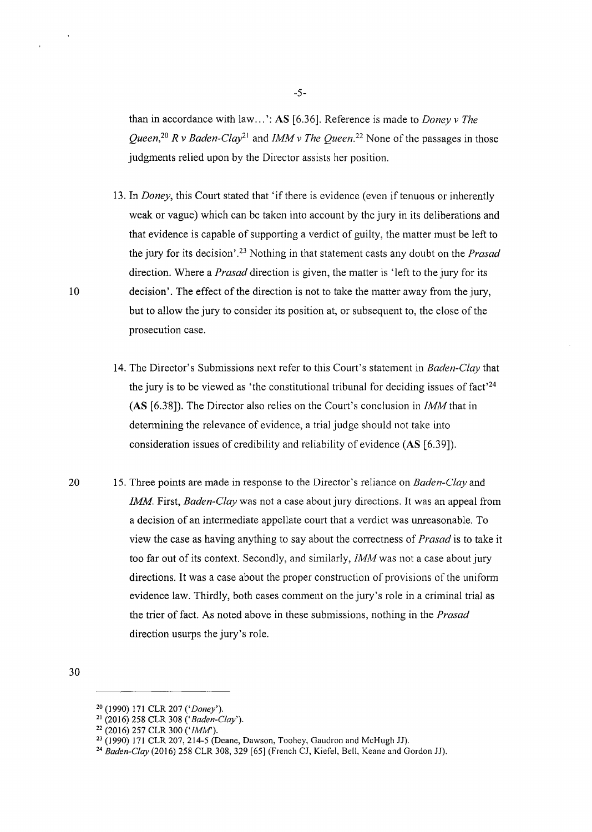than in accordance with law ... ': AS [6.36]. Reference is made to *Doney v The Queen*<sup>20</sup> *R v Baden-Clay*<sup>21</sup> and *IMM v The Queen*<sup>22</sup> None of the passages in those judgments relied upon by the Director assists her position.

- 13. In *Doney*, this Court stated that 'if there is evidence (even if tenuous or inherently weak or vague) which can be taken into account by the jury in its deliberations and that evidence is capable of supporting a verdict of guilty, the matter must be left to the jury for its decision'.23 Nothing in that statement casts any doubt on the *Prasad*  direction. Where a *Prasad* direction is given, the matter is 'left to the jury for its decision'. The effect of the direction is not to take the matter away from the jury, but to allow the jury to consider its position at, or subsequent to, the close of the prosecution case.
- 14. The Director's Submissions next refer to this Court's statement in *Baden-Clay* that the jury is to be viewed as 'the constitutional tribunal for deciding issues of fact'<sup>24</sup> (AS [6.38]). The Director also relies on the Court's conclusion in *IMM* that in determining the relevance of evidence, a trial judge should not take into consideration issues of credibility and reliability of evidence (AS [6.39]).
- 20 15. Three points are made in response to the Director's reliance on *Baden-Clay* and *!MM.* First, *Baden-Clay* was not a case about jury directions. It was an appeal from a decision of an intermediate appellate court that a verdict was unreasonable. To view the case as having anything to say about the correctness of *Prasad* is to take it too far out of its context. Secondly, and similarly, *IMM* was not a case about jury directions. It was a case about the proper construction of provisions of the unifonn evidence law. Thirdly, both cases comment on the jury's role in a criminal trial as the trier of fact. As noted above in these submissions, nothing in the *Prasad*  direction usurps the jury's role.

<sup>30</sup> 

<sup>20 (1990) 171</sup> CLR 207 *('Doney').* 

<sup>21 (2016) 258</sup> CLR 308 *('Baden-Clay').* 

<sup>&</sup>lt;sup>22</sup> (2016) 257 CLR 300 ('*IMM*').

<sup>&</sup>lt;sup>23</sup> (1990) 171 CLR 207, 214-5 (Deane, Dawson, Toohey, Gaudron and McHugh JJ).<br><sup>24</sup> *Baden-Clay* (2016) 258 CLR 308, 329 [65] (French CJ, Kiefel, Bell, Keane and Gordon JJ).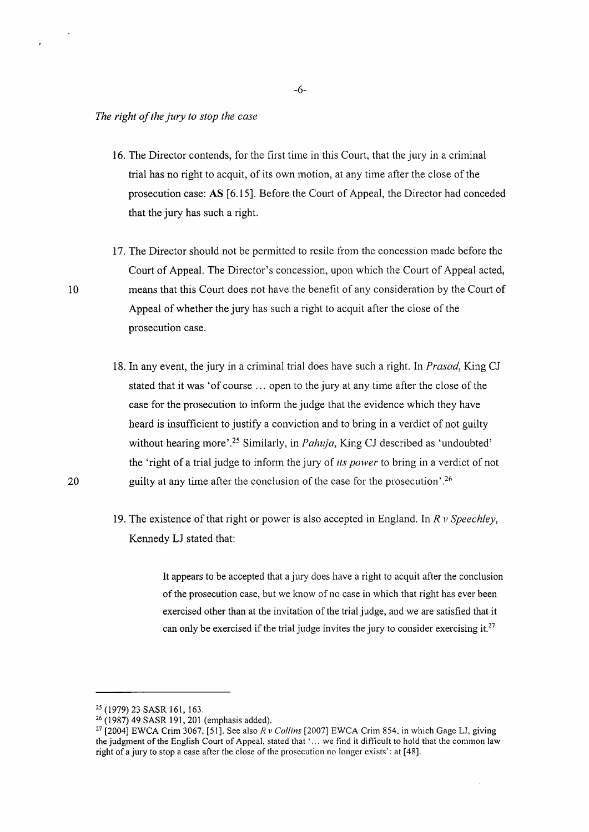- 16. The Director contends, for the first time in this Court, that the jury in a criminal trial has no right to acquit, of its own motion, at any time after the close of the prosecution case: AS [6.15]. Before the Court of Appeal, the Director had conceded that the jury has such a right.
- 17. The Director should not be permitted to resile from the concession made before the Court of Appeal. The Director's concession, upon which the Court of Appeal acted, means that this Court does not have the benefit of any consideration by the Court of Appeal of whether the jury has such a right to acquit after the close of the prosecution case.
- 18. In any event, the jury in a criminal trial does have such a right. In *Prasad,* King CJ stated that it was 'of course ... open to the jury at any time after the close of the case for the prosecution to inform the judge that the evidence which they have heard is insufficient to justify a conviction and to bring in a verdict of not guilty without hearing more'.25 Similarly, in *Pahuja,* King CJ described as 'undoubted' the 'right of a trial judge to inform the jury of *its power* to bring in a verdict of not guilty at any time after the conclusion of the case for the prosecution'.<sup>26</sup>
- 19. The existence of that right or power is also accepted in England. In *R v Speechley,*  Kennedy LJ stated that:

It appears to be accepted that a jury does have a right to acquit after the conclusion of the prosecution case, but we know of no case in which that right has ever been exercised other than at the invitation of the trial judge, and we are satisfied that it can only be exercised if the trial judge invites the jury to consider exercising it.<sup>27</sup>

<sup>25 (1979) 23</sup> SASR 161, 163. 26 (1987) 49 SASR 191,201 (emphasis added). 27 [2004] EWCA Crim 3067, [51]. See also *R v Collins* [2007] EWCA Crim 854, in which Gage LJ, giving the judgment of the English Court of Appeal, stated that' ... we find it difficult to hold that the common law right of a jury to stop a case after the close of the prosecution no longer exists': at [ 48].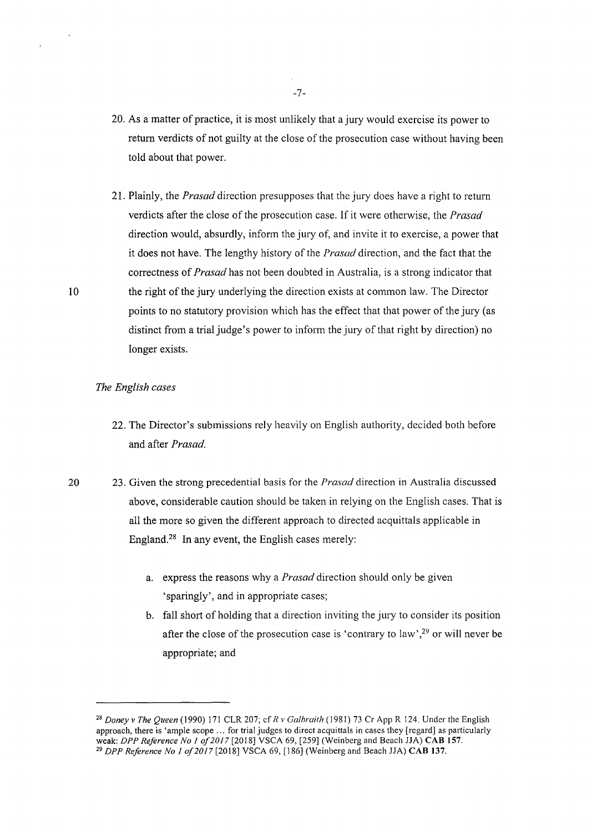- 20. As a matter of practice, it is most unlikely that a jury would exercise its power to return verdicts of not guilty at the close of the prosecution case without having been told about that power.
- 21. Plainly, the *Prasad* direction presupposes that the jury does have a right to return verdicts after the close of the prosecution case. If it were otherwise, the *Prasad*  direction would, absurdly, inform the jury of, and invite it to exercise, a power that it does not have. The lengthy history of the *Prasad* direction, and the fact that the correctness of *Prasad* has not been doubted in Australia, is a strong indicator that the right of the jury underlying the direction exists at common law. The Director points to no statutory provision which has the effect that that power of the jury (as distinct from a trial judge's power to inform the jury of that right by direction) no longer exists.

#### *The English cases*

- 22. The Director's submissions rely heavily on English authority, decided both before and after *Prasad.*
- 20 23. Given the strong precedential basis for the *Prasad* direction in Australia discussed above, considerable caution should be taken in relying on the English cases. That is all the more so given the different approach to directed acquittals applicable in England.28 In any event, the English cases merely:
	- a. express the reasons why a *Prasad* direction should only be given 'sparingly', and in appropriate cases;
	- b. fall short of holding that a direction inviting the jury to consider its position after the close of the prosecution case is 'contrary to law',<sup>29</sup> or will never be appropriate; and

-7-

<sup>28</sup>*Doney v The Queen* (1990) 171 CLR 207; cf *R v Galbraith* ( 1981) 73 Cr App R 124. Under the English approach, there is 'ample scope ... for trial judges to direct acquittals in cases they [regard] as particularly weak: *DPP Reference No I of2017* [2018] VSCA 69, [259] (Weinberg and Beach JJA) CAB 157. 29 *DPP Reference No I of2017* [2018] VSCA 69, [186] (Weinberg and Beach JJA) CAB 137.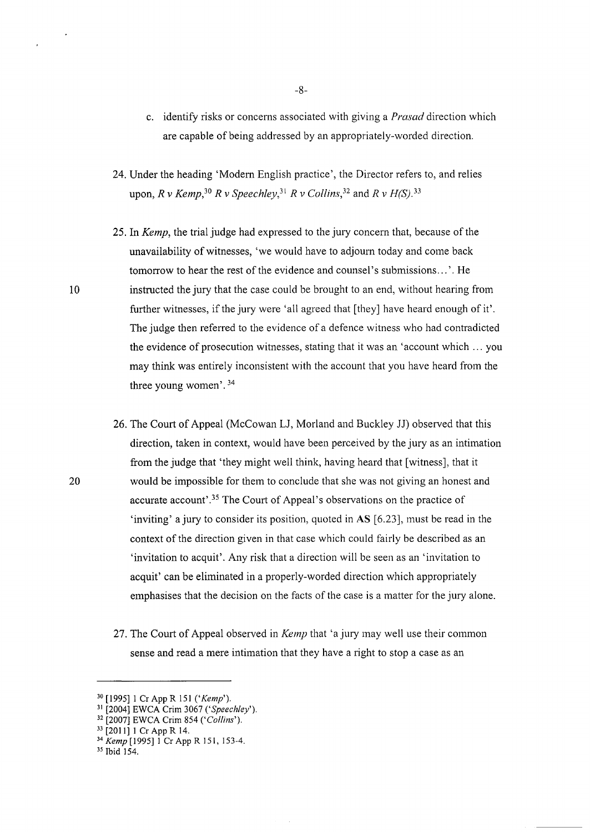- c. identify risks or concerns associated with giving a *Prasad* direction which are capable of being addressed by an appropriately-worded direction.
- 24. Under the heading 'Modern English practice', the Director refers to, and relies upon,  $R$  v Kemp,  $30 R$  v Speechlev,  $31 R$  v Collins,  $32$  and  $R$  v H(S),  $33$
- 25. In *Kemp,* the trial judge had expressed to the jury concern that, because of the unavailability of witnesses, 'we would have to adjoum today and come back tomorrow to hear the rest of the evidence and counsel's submissions ... '. He instructed the jury that the case could be brought to an end, without hearing from further witnesses, if the jury were 'all agreed that [they] have heard enough of it'. The judge then referred to the evidence of a defence witness who had contradicted the evidence of prosecution witnesses, stating that it was an 'account which ... you may think was entirely inconsistent with the account that you have heard from the three young women'. 34
- 26. The Court of Appeal (McCowan LJ, Morland and Buckley JJ) observed that this direction, taken in context, would have been perceived by the jury as an intimation from the judge that 'they might well think, having heard that [witness], that it would be impossible for them to conclude that she was not giving an honest and accurate account'.<sup>35</sup> The Court of Appeal's observations on the practice of 'inviting' a jury to consider its position, quoted in AS [6.23], must be read in the context of the direction given in that case which could fairly be described as an 'invitation to acquit'. Any risk that a direction will be seen as an 'invitation to acquit' can be eliminated in a properly-worded direction which appropriately emphasises that the decision on the facts of the case is a matter for the jury alone.
- 27. The Court of Appeal observed in *Kemp* that 'a jury may well use their common sense and read a mere intimation that they have a right to stop a case as an

10

<sup>30 [1995] 1</sup> Cr App R 151 *('Kemp').* 

<sup>31</sup> [2004] EWCA Crim 3067 *('Speechley').* 

<sup>32 [2007]</sup> EWCA Crim 854 *('Collins').* 

<sup>33 [2011] 1</sup> Cr App R 14. 34 *Kemp* [1995] I Cr App R 151, 153-4. 35 Ibid 154.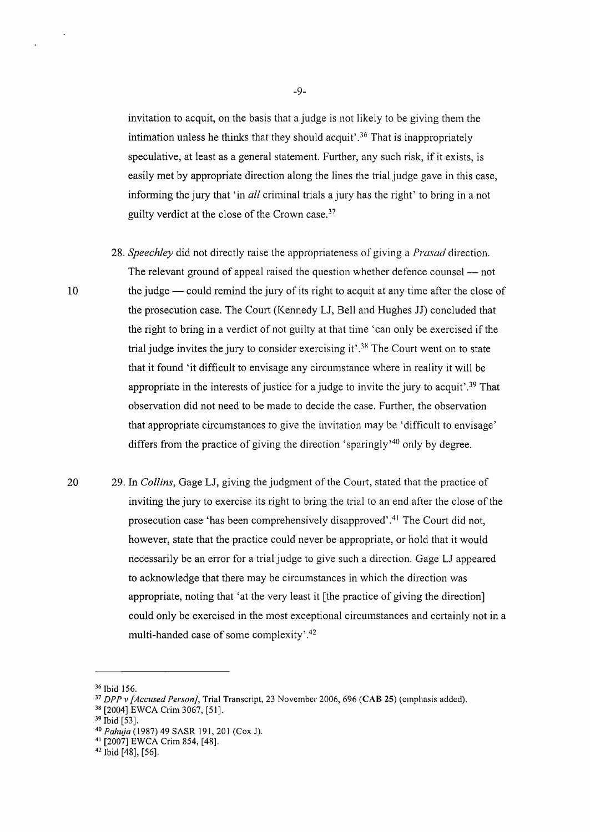invitation to acquit, on the basis that a judge is not likely to be giving them the intimation unless he thinks that they should acquit' . 36 That is inappropriately speculative, at least as a general statement. Further, any such risk, if it exists, is easily met by appropriate direction along the lines the trial judge gave in this case, informing the jury that 'in *all* criminal trials a jury has the right' to bring in a not guilty verdict at the close of the Crown case. 37

- 28. *Speechley* did not directly raise the appropriateness of giving a *Prasad* direction. The relevant ground of appeal raised the question whether defence counsel -- not the judge — could remind the jury of its right to acquit at any time after the close of the prosecution case. The Court (Kennedy LJ, Bell and Hughes JJ) concluded that the right to bring in a verdict of not guilty at that time 'can only be exercised if the trial judge invites the jury to consider exercising it<sup>'</sup>.<sup>38</sup> The Court went on to state that it found 'it difficult to envisage any circumstance where in reality it will be appropriate in the interests of justice for a judge to invite the jury to acquit'. 39 That observation did not need to be made to decide the case. Further, the observation that appropriate circumstances to give the invitation may be 'difficult to envisage' differs from the practice of giving the direction 'sparingly'<sup>40</sup> only by degree.
- 20 29. In *Collins,* Gage LJ, giving the judgment of the Court, stated that the practice of inviting the jury to exercise its right to bring the trial to an end after the close of the prosecution case 'has been comprehensively disapproved'.<sup>41</sup> The Court did not, however, state that the practice could never be appropriate, or hold that it would necessarily be an error for a trial judge to give such a direction. Gage LJ appeared to acknowledge that there may be circumstances in which the direction was appropriate, noting that 'at the very least it [the practice of giving the direction] could only be exercised in the most exceptional circumstances and certainly not in a multi-handed case of some complexity' . 42

<sup>&</sup>lt;sup>36</sup> Ibid 156.<br><sup>37</sup> *DPP v [Accused Person]*, Trial Transcript, 23 November 2006, 696 (CAB 25) (emphasis added).<br><sup>38</sup> [2004] EWCA Crim 3067, [51].

<sup>&</sup>lt;sup>39</sup> Ibid [53].<br><sup>40</sup> Pahuja (1987) 49 SASR 191, 201 (Cox J).

<sup>&</sup>lt;sup>41</sup> [2007] EWCA Crim 854, [48].<br><sup>42</sup> Ibid [48], [56].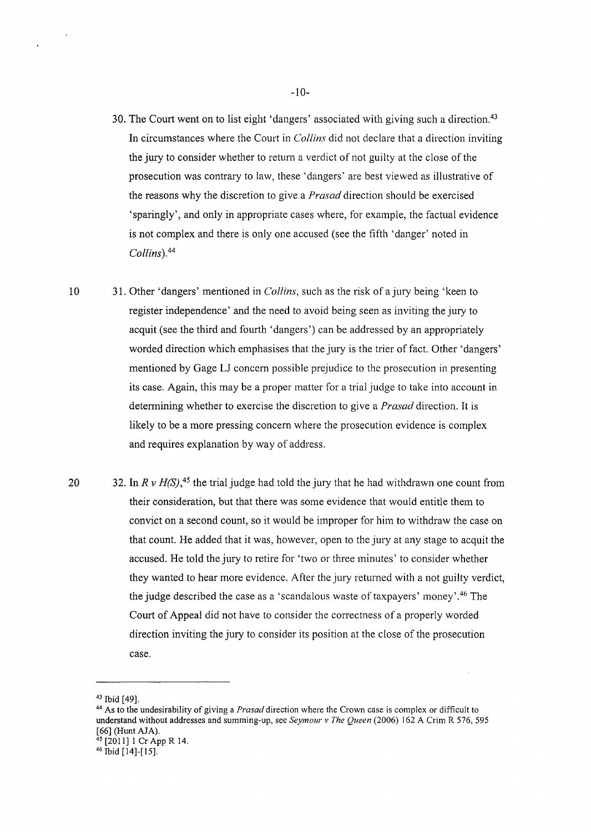- 30. The Court went on to list eight 'dangers' associated with giving such a direction.<sup>43</sup> In circumstances where the Court in *Collins* did not declare that a direction inviting the jury to consider whether to return a verdict of not guilty at the close of the prosecution was contrary to law, these 'dangers' are best viewed as illustrative of the reasons why the discretion to give a *Prasad* direction should be exercised 'sparingly', and only in appropriate cases where, for example, the factual evidence is not complex and there is only one accused (see the fifth 'danger' noted in *Collins). <sup>44</sup>*
- 10 31. Other 'dangers' mentioned in *Collins,* such as the risk of a jury being 'keen to register independence' and the need to avoid being seen as inviting the jury to acquit (see the third and fourth 'dangers') can be addressed by an appropriately worded direction which emphasises that the jury is the trier of fact. Other 'dangers' mentioned by Gage LJ concern possible prejudice to the prosecution in presenting its case. Again, this may be a proper matter for a trial judge to take into account in detennining whether to exercise the discretion to give a *Prasad* direction. It is likely to be a more pressing concern where the prosecution evidence is complex and requires explanation by way of address.
- 20 32. In  $R v H(S)$ <sup>45</sup>, the trial judge had told the jury that he had withdrawn one count from their consideration, but that there was some evidence that would entitle them to convict on a second count, so it would be improper for him to withdraw the case on that count. He added that it was, however, open to the jury at any stage to acquit the accused. He told the jury to retire for 'two or three minutes' to consider whether they wanted to hear more evidence. After the jury returned with a not guilty verdict, the judge described the case as a 'scandalous waste of taxpayers' money'.<sup>46</sup> The Court of Appeal did not have to consider the correctness of a properly worded direction inviting the jury to consider its position at the close of the prosecution case.

<sup>&</sup>lt;sup>43</sup> Ibid [49].<br><sup>44</sup> As to the undesirability of giving a *Prasad* direction where the Crown case is complex or difficult to understand without addresses and summing-up, see *Seymour v The Queen* (2006) 162 A Crim R 576, 595 [66] (Hunt AJA).<br><sup>45</sup> [2011] 1 Cr App R 14.<br><sup>46</sup> Ibid [14]-[15].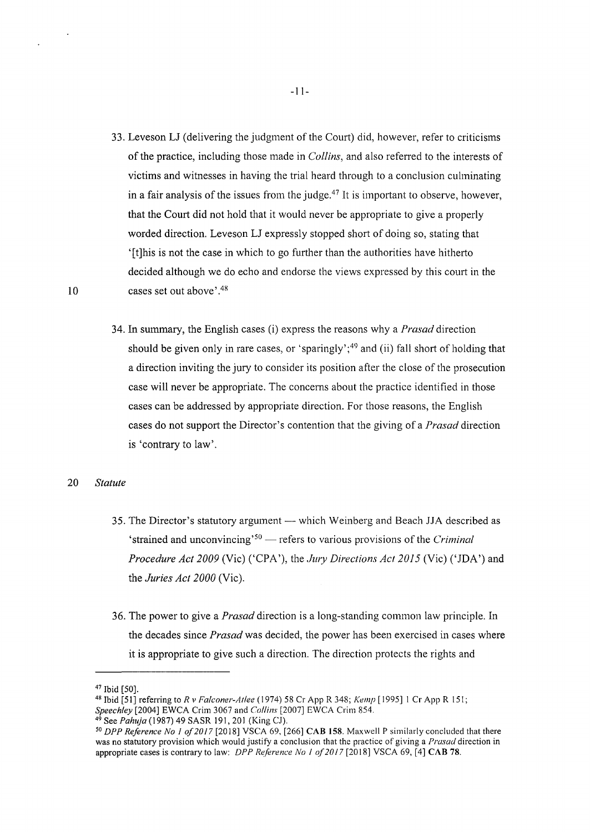- 33. Leveson LJ (delivering the judgment of the Court) did, however, refer to criticisms of the practice, including those made in *Collins,* and also referred to the interests of victims and witnesses in having the trial heard through to a conclusion culminating in a fair analysis of the issues from the judge.<sup>47</sup> It is important to observe, however, that the Court did not hold that it would never be appropriate to give a properly worded direction. Leveson LJ expressly stopped short of doing so, stating that '[t]his is not the case in which to go further than the authorities have hitherto decided although we do echo and endorse the views expressed by this court in the cases set out above'.<sup>48</sup>
- 34. In summary, the English cases (i) express the reasons why a *Prasad* direction should be given only in rare cases, or 'sparingly';<sup>49</sup> and (ii) fall short of holding that a direction inviting the jury to consider its position after the close of the prosecution case will never be appropriate. The concerns about the practice identified in those cases can be addressed by appropriate direction. For those reasons, the English cases do not support the Director's contention that the giving of a *Prasad* direction is 'contrary to law'.

#### 20 *Statute*

- 35. The Director's statutory argument which Weinberg and Beach JJA described as 'strained and unconvincing'<sup>50</sup> — refers to various provisions of the *Criminal Procedure Act 2009* (Vic) ('CPA'), the *Jury Directions Act 2015* (Vic) ('JDA') and the *Juries Act 2000* (Vic).
- 36. The power to give a *Prasad* direction is a long-standing common law principle. In the decades since *Prasad* was decided, the power has been exercised in cases where it is appropriate to give such a direction. The direction protects the rights and

<sup>47</sup> Ibid [50]. 48 Ibid [51] referring to *R v Falconer-Atlee* ( 1974) 58 Cr App R 348; *Kemp* [ 1995] I Cr App R 151;

<sup>&</sup>lt;sup>49</sup> See Pahuja (1987) 49 SASR 191, 201 (King CJ).<br><sup>50</sup> DPP Reference No 1 of 2017 [2018] VSCA 69, [266] **CAB 158**. Maxwell P similarly concluded that there was no statutory provision which would justify a conclusion that the practice of giving a *Prasad* direction in appropriate cases is contrary to law: *DPP Reference No 1 of 2017* [2018] VSCA 69, [4] **CAB 78**.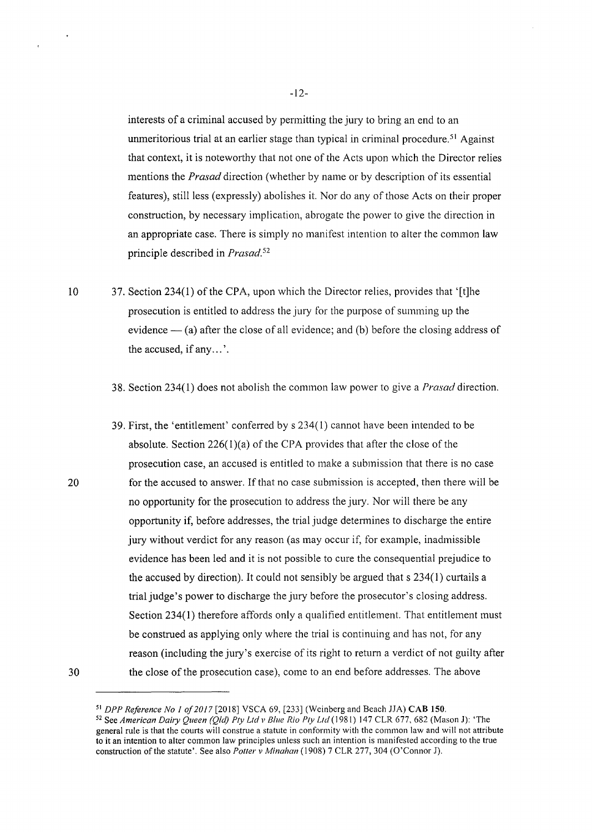interests of a criminal accused by permitting the jury to bring an end to an unmeritorious trial at an earlier stage than typical in criminal procedure.<sup>51</sup> Against that context, it is noteworthy that not one of the Acts upon which the Director relies mentions the *Prasad* direction (whether by name or by description of its essential features), still less (expressly) abolishes it. Nor do any of those Acts on their proper construction, by necessary implication, abrogate the power to give the direction in an appropriate case. There is simply no manifest intention to alter the common law principle described in *Prasad.* 5<sup>2</sup>

- 10 37. Section 234(1) of the CPA, upon which the Director relies, provides that '[t]he prosecution is entitled to address the jury for the purpose of summing up the evidence  $-$  (a) after the close of all evidence; and (b) before the closing address of the accused, if any ... '.
	- 38. Section 234(1) does not abolish the common law power to give a *Prasad* direction.
	- 39. First, the 'entitlement' conferred by s 234(1) cannot have been intended to be absolute. Section 226(1)(a) of the CPA provides that after the close of the prosecution case, an accused is entitled to make a submission that there is no case for the accused to answer. If that no case submission is accepted, then there will be no opportunity for the prosecution to address the jury. Nor will there be any opportunity if, before addresses, the trial judge determines to discharge the entire jury without verdict for any reason (as may occur if, for example, inadmissible evidence has been led and it is not possible to cure the consequential prejudice to the accused by direction). It could not sensibly be argued that  $s$  234(1) curtails a trial judge's power to discharge the jury before the prosecutor's closing address. Section 234(1) therefore affords only a qualified entitlement. That entitlement must be construed as applying only where the trial is continuing and has not, for any reason (including the jury's exercise of its right to return a verdict of not guilty after the close of the prosecution case), come to an end before addresses. The above

20

<sup>51</sup>*DPP Reference No 1 of2017* [2018] VSCA 69, [233] (Weinberg and Beach JJA) CAB ISO. 52 See *American Dairy Queen (Qid) Pty Ltd v Blue Rio Pty Ltd* (1981) 147 CLR 677, 682 (Mason J): 'The

general rule is that the courts will construe a statute in conformity with the common law and will not attribute to it an intention to alter common law principles unless such an intention is manifested according to the true construction of the statute'. See also *Potter v Minahan* (1908) 7 CLR 277, 304 (O'Connor J).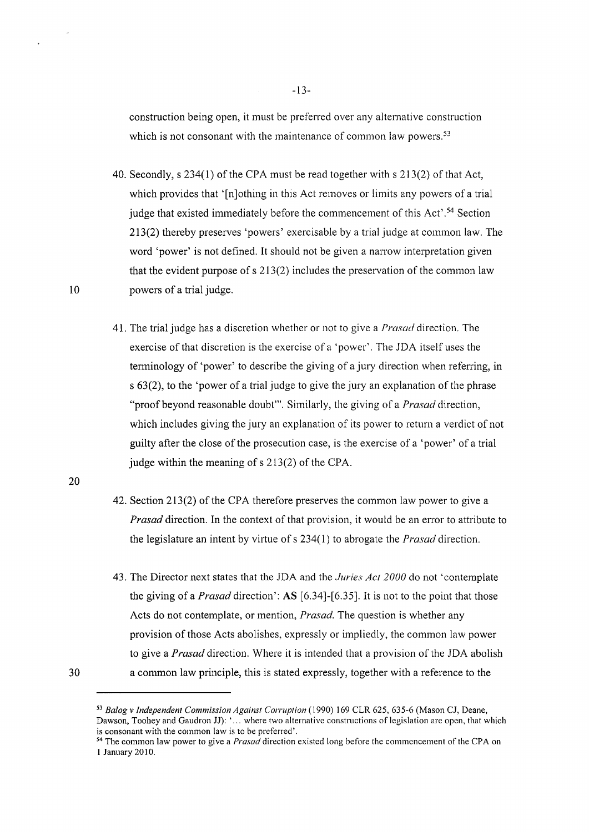construction being open, it must be preferred over any alternative construction which is not consonant with the maintenance of common law powers.<sup>53</sup>

- 40. Secondly, s 234(1) of the CPA must be read together with s 213(2) of that Act, which provides that '[n]othing in this Act removes or limits any powers of a trial judge that existed immediately before the commencement of this Act'.<sup>54</sup> Section 213(2) thereby preserves 'powers' exercisable by a trial judge at common law. The word 'power' is not defined. It should not be given a narrow interpretation given that the evident purpose of s 213(2) includes the preservation of the common law powers of a trial judge.
- 41. The trial judge has a discretion whether or not to give a *Prasad* direction. The exercise of that discretion is the exercise of a 'power'. The JDA itself uses the terminology of 'power' to describe the giving of a jury direction when referring, in s 63(2), to the 'power of a trial judge to give the jury an explanation of the phrase "proof beyond reasonable doubt"'. Similarly, the giving of a *Prasad* direction, which includes giving the jury an explanation of its power to return a verdict of not guilty after the close of the prosecution case, is the exercise of a 'power' of a trial judge within the meaning of  $s$  213(2) of the CPA.
- 20

10

- 42. Section 213(2) of the CPA therefore preserves the common law power to give a *Prasad* direction. In the context of that provision, it would be an error to attribute to the legislature an intent by virtue of s 234( 1) to abrogate the *Prasad* direction.
- 43. The Director next states that the JDA and the *.Juries Act 2000* do not 'contemplate the giving of a *Prasad* direction': AS [6.34]-[6.35]. It is not to the point that those Acts do not contemplate, or mention, *Prasad.* The question is whether any provision of those Acts abolishes, expressly or impliedly, the common law power to give a *Prasad* direction. Where it is intended that a provision of the JDA abolish a common law principle, this is stated expressly, together with a reference to the

-13-

<sup>30</sup> 

<sup>53</sup>*Balog v Independent Commission Against Corruption* ( 1990) 169 CLR 625, 635-6 (Mason CJ, Deane, Dawson, Toohey and Gaudron JJ): '... where two alternative constructions of legislation are open, that which is consonant with the common law is to be preferred'.

<sup>&</sup>lt;sup>54</sup> The common law power to give a *Prasad* direction existed long before the commencement of the CPA on 1 January 2010.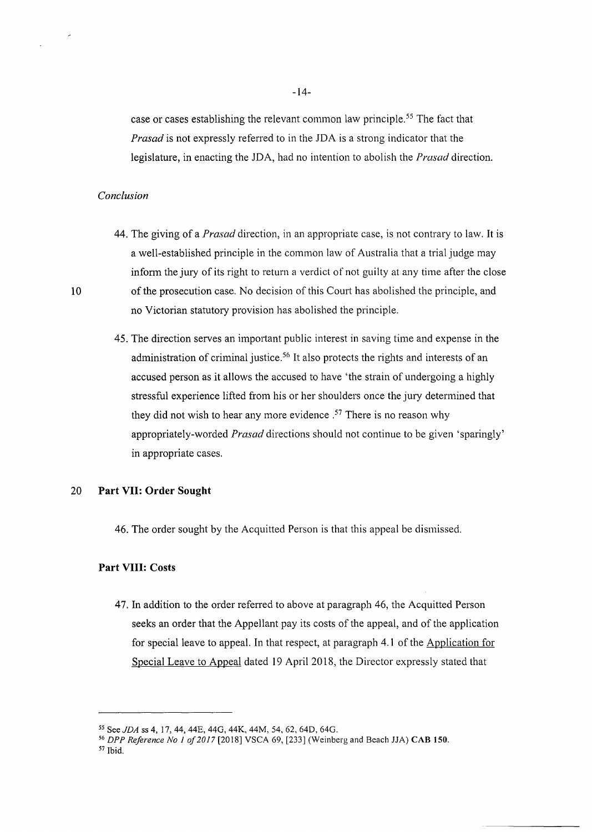case or cases establishing the relevant common law principle. 55 The fact that *Prasad* is not expressly referred to in the JDA is a strong indicator that the legislature, in enacting the JDA, had no intention to abolish the *Prasad* direction.

#### *Conclusion*

- 44. The giving of a *Prasad* direction, in an appropriate case, is not contrary to law. It is a well-established principle in the common law of Australia that a trial judge may infonn the jury of its right to return a verdict of not guilty at any time after the close of the prosecution case. No decision of this Court has abolished the principle, and no Victorian statutory provision has abolished the principle.
- 45. The direction serves an impotiant public interest in saving time and expense in the administration of criminal justice.<sup>56</sup> It also protects the rights and interests of an accused person as it allows the accused to have 'the strain of undergoing a highly stressful experience lifted from his or her shoulders once the jury determined that they did not wish to hear any more evidence.<sup>57</sup> There is no reason why appropriately-worded *Prasad* directions should not continue to be given 'sparingly' in appropriate cases.

#### 20 **Part VII: Order Sought**

46. The order sought by the Acquitted Person is that this appeal be dismissed.

#### **Part VIII: Costs**

47. In addition to the order referred to above at paragraph 46, the Acquitted Person seeks an order that the Appellant pay its costs of the appeal, and of the application for special leave to appeal. In that respect, at paragraph 4.1 of the Application for Special Leave to Appeal dated 19 April 2018, the Director expressly stated that

*<sup>55</sup>*See *JDA* ss 4, 17, 44, 44E, 440, 44K, 44M, 54, 62, 64D, 64G. 56 *DPP Reference No 1 of2017* [2018] VSCA 69, [233] (Weinberg and Beach JJA) CAB **150.**  57 Ibid.